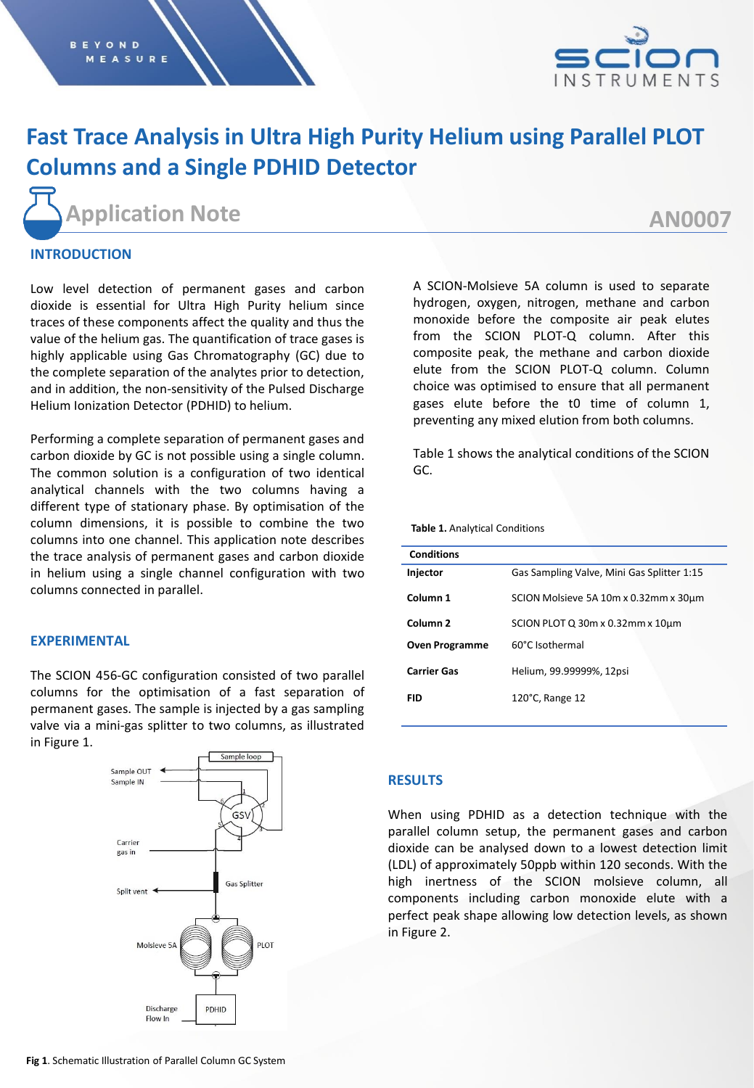

# **Fast Trace Analysis in Ultra High Purity Helium using Parallel PLOT Columns and a Single PDHID Detector**

**Application Note**

## **AN0007**

## **INTRODUCTION**

Low level detection of permanent gases and carbon dioxide is essential for Ultra High Purity helium since traces of these components affect the quality and thus the value of the helium gas. The quantification of trace gases is highly applicable using Gas Chromatography (GC) due to the complete separation of the analytes prior to detection, and in addition, the non-sensitivity of the Pulsed Discharge Helium Ionization Detector (PDHID) to helium.

Performing a complete separation of permanent gases and carbon dioxide by GC is not possible using a single column. The common solution is a configuration of two identical analytical channels with the two columns having a different type of stationary phase. By optimisation of the column dimensions, it is possible to combine the two columns into one channel. This application note describes the trace analysis of permanent gases and carbon dioxide in helium using a single channel configuration with two columns connected in parallel.

### **EXPERIMENTAL**

The SCION 456-GC configuration consisted of two parallel columns for the optimisation of a fast separation of permanent gases. The sample is injected by a gas sampling valve via a mini-gas splitter to two columns, as illustrated in Figure 1.



A SCION-Molsieve 5A column is used to separate hydrogen, oxygen, nitrogen, methane and carbon monoxide before the composite air peak elutes from the SCION PLOT-Q column. After this composite peak, the methane and carbon dioxide elute from the SCION PLOT-Q column. Column choice was optimised to ensure that all permanent gases elute before the t0 time of column 1, preventing any mixed elution from both columns.

Table 1 shows the analytical conditions of the SCION GC.

**Table 1.** Analytical Conditions

| <b>Conditions</b>     |                                            |  |  |
|-----------------------|--------------------------------------------|--|--|
| Injector              | Gas Sampling Valve, Mini Gas Splitter 1:15 |  |  |
| Column <sub>1</sub>   | SCION Molsieve 5A 10m x 0.32mm x 30um      |  |  |
| Column <sub>2</sub>   | SCION PLOT Q 30m x 0.32mm x 10um           |  |  |
| <b>Oven Programme</b> | 60°C Isothermal                            |  |  |
| <b>Carrier Gas</b>    | Helium, 99.99999%, 12psi                   |  |  |
| FID                   | $120^{\circ}$ C, Range 12                  |  |  |

### **RESULTS**

When using PDHID as a detection technique with the parallel column setup, the permanent gases and carbon dioxide can be analysed down to a lowest detection limit (LDL) of approximately 50ppb within 120 seconds. With the high inertness of the SCION molsieve column, all components including carbon monoxide elute with a perfect peak shape allowing low detection levels, as shown in Figure 2.